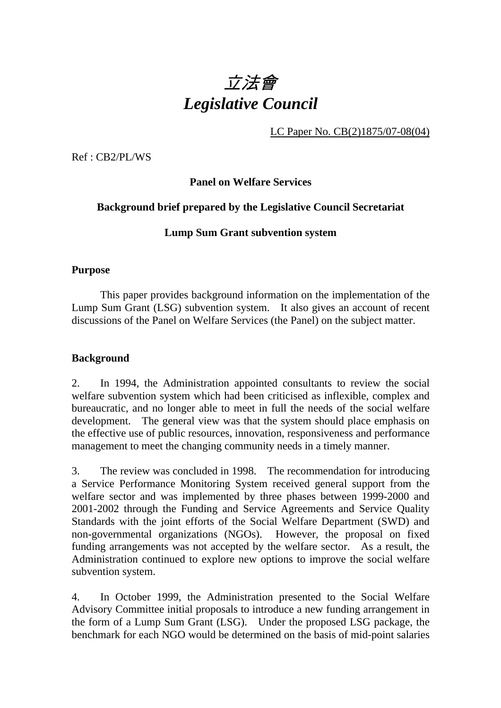

LC Paper No. CB(2)1875/07-08(04)

Ref : CB2/PL/WS

**Panel on Welfare Services** 

### **Background brief prepared by the Legislative Council Secretariat**

### **Lump Sum Grant subvention system**

#### **Purpose**

This paper provides background information on the implementation of the Lump Sum Grant (LSG) subvention system. It also gives an account of recent discussions of the Panel on Welfare Services (the Panel) on the subject matter.

#### **Background**

2. In 1994, the Administration appointed consultants to review the social welfare subvention system which had been criticised as inflexible, complex and bureaucratic, and no longer able to meet in full the needs of the social welfare development. The general view was that the system should place emphasis on the effective use of public resources, innovation, responsiveness and performance management to meet the changing community needs in a timely manner.

3. The review was concluded in 1998. The recommendation for introducing a Service Performance Monitoring System received general support from the welfare sector and was implemented by three phases between 1999-2000 and 2001-2002 through the Funding and Service Agreements and Service Quality Standards with the joint efforts of the Social Welfare Department (SWD) and non-governmental organizations (NGOs). However, the proposal on fixed funding arrangements was not accepted by the welfare sector. As a result, the Administration continued to explore new options to improve the social welfare subvention system.

4. In October 1999, the Administration presented to the Social Welfare Advisory Committee initial proposals to introduce a new funding arrangement in the form of a Lump Sum Grant (LSG). Under the proposed LSG package, the benchmark for each NGO would be determined on the basis of mid-point salaries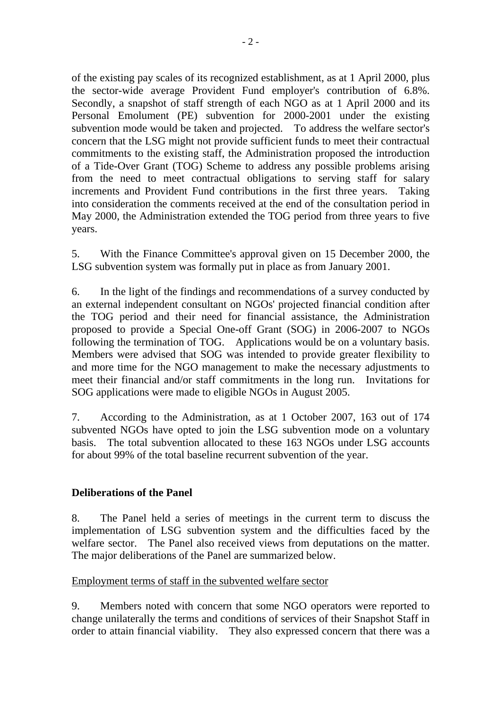of the existing pay scales of its recognized establishment, as at 1 April 2000, plus the sector-wide average Provident Fund employer's contribution of 6.8%. Secondly, a snapshot of staff strength of each NGO as at 1 April 2000 and its Personal Emolument (PE) subvention for 2000-2001 under the existing subvention mode would be taken and projected. To address the welfare sector's concern that the LSG might not provide sufficient funds to meet their contractual commitments to the existing staff, the Administration proposed the introduction of a Tide-Over Grant (TOG) Scheme to address any possible problems arising from the need to meet contractual obligations to serving staff for salary increments and Provident Fund contributions in the first three years. Taking into consideration the comments received at the end of the consultation period in May 2000, the Administration extended the TOG period from three years to five years.

5. With the Finance Committee's approval given on 15 December 2000, the LSG subvention system was formally put in place as from January 2001.

6. In the light of the findings and recommendations of a survey conducted by an external independent consultant on NGOs' projected financial condition after the TOG period and their need for financial assistance, the Administration proposed to provide a Special One-off Grant (SOG) in 2006-2007 to NGOs following the termination of TOG. Applications would be on a voluntary basis. Members were advised that SOG was intended to provide greater flexibility to and more time for the NGO management to make the necessary adjustments to meet their financial and/or staff commitments in the long run. Invitations for SOG applications were made to eligible NGOs in August 2005.

7. According to the Administration, as at 1 October 2007, 163 out of 174 subvented NGOs have opted to join the LSG subvention mode on a voluntary basis. The total subvention allocated to these 163 NGOs under LSG accounts for about 99% of the total baseline recurrent subvention of the year.

## **Deliberations of the Panel**

8. The Panel held a series of meetings in the current term to discuss the implementation of LSG subvention system and the difficulties faced by the welfare sector. The Panel also received views from deputations on the matter. The major deliberations of the Panel are summarized below.

## Employment terms of staff in the subvented welfare sector

9. Members noted with concern that some NGO operators were reported to change unilaterally the terms and conditions of services of their Snapshot Staff in order to attain financial viability. They also expressed concern that there was a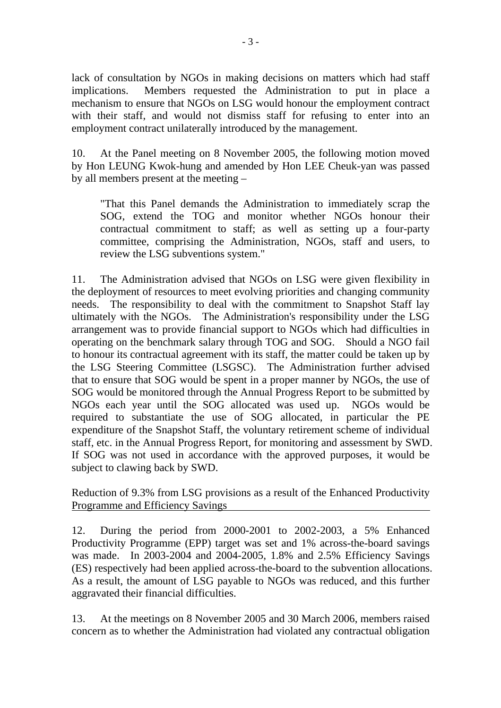lack of consultation by NGOs in making decisions on matters which had staff implications. Members requested the Administration to put in place a mechanism to ensure that NGOs on LSG would honour the employment contract with their staff, and would not dismiss staff for refusing to enter into an employment contract unilaterally introduced by the management.

10. At the Panel meeting on 8 November 2005, the following motion moved by Hon LEUNG Kwok-hung and amended by Hon LEE Cheuk-yan was passed by all members present at the meeting –

"That this Panel demands the Administration to immediately scrap the SOG, extend the TOG and monitor whether NGOs honour their contractual commitment to staff; as well as setting up a four-party committee, comprising the Administration, NGOs, staff and users, to review the LSG subventions system."

11. The Administration advised that NGOs on LSG were given flexibility in the deployment of resources to meet evolving priorities and changing community needs. The responsibility to deal with the commitment to Snapshot Staff lay ultimately with the NGOs. The Administration's responsibility under the LSG arrangement was to provide financial support to NGOs which had difficulties in operating on the benchmark salary through TOG and SOG. Should a NGO fail to honour its contractual agreement with its staff, the matter could be taken up by the LSG Steering Committee (LSGSC). The Administration further advised that to ensure that SOG would be spent in a proper manner by NGOs, the use of SOG would be monitored through the Annual Progress Report to be submitted by NGOs each year until the SOG allocated was used up. NGOs would be required to substantiate the use of SOG allocated, in particular the PE expenditure of the Snapshot Staff, the voluntary retirement scheme of individual staff, etc. in the Annual Progress Report, for monitoring and assessment by SWD. If SOG was not used in accordance with the approved purposes, it would be subject to clawing back by SWD.

Reduction of 9.3% from LSG provisions as a result of the Enhanced Productivity Programme and Efficiency Savings

12. During the period from 2000-2001 to 2002-2003, a 5% Enhanced Productivity Programme (EPP) target was set and 1% across-the-board savings was made. In 2003-2004 and 2004-2005, 1.8% and 2.5% Efficiency Savings (ES) respectively had been applied across-the-board to the subvention allocations. As a result, the amount of LSG payable to NGOs was reduced, and this further aggravated their financial difficulties.

13. At the meetings on 8 November 2005 and 30 March 2006, members raised concern as to whether the Administration had violated any contractual obligation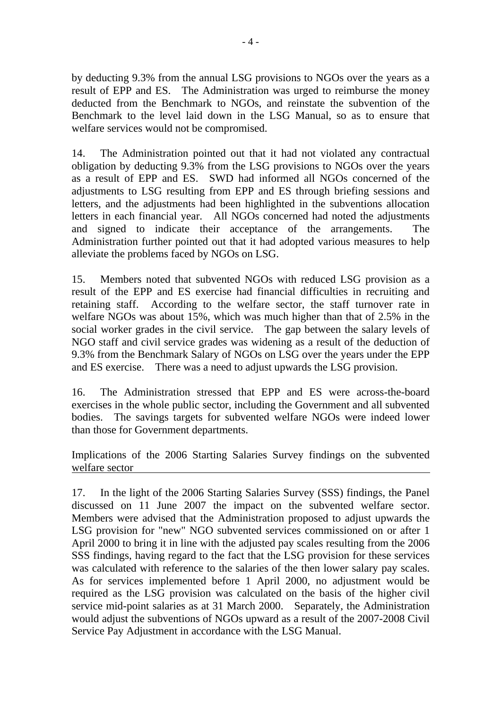by deducting 9.3% from the annual LSG provisions to NGOs over the years as a result of EPP and ES. The Administration was urged to reimburse the money deducted from the Benchmark to NGOs, and reinstate the subvention of the Benchmark to the level laid down in the LSG Manual, so as to ensure that welfare services would not be compromised.

14. The Administration pointed out that it had not violated any contractual obligation by deducting 9.3% from the LSG provisions to NGOs over the years as a result of EPP and ES. SWD had informed all NGOs concerned of the adjustments to LSG resulting from EPP and ES through briefing sessions and letters, and the adjustments had been highlighted in the subventions allocation letters in each financial year. All NGOs concerned had noted the adjustments and signed to indicate their acceptance of the arrangements. The Administration further pointed out that it had adopted various measures to help alleviate the problems faced by NGOs on LSG.

15. Members noted that subvented NGOs with reduced LSG provision as a result of the EPP and ES exercise had financial difficulties in recruiting and retaining staff. According to the welfare sector, the staff turnover rate in welfare NGOs was about 15%, which was much higher than that of 2.5% in the social worker grades in the civil service. The gap between the salary levels of NGO staff and civil service grades was widening as a result of the deduction of 9.3% from the Benchmark Salary of NGOs on LSG over the years under the EPP and ES exercise. There was a need to adjust upwards the LSG provision.

16. The Administration stressed that EPP and ES were across-the-board exercises in the whole public sector, including the Government and all subvented bodies. The savings targets for subvented welfare NGOs were indeed lower than those for Government departments.

Implications of the 2006 Starting Salaries Survey findings on the subvented welfare sector

17. In the light of the 2006 Starting Salaries Survey (SSS) findings, the Panel discussed on 11 June 2007 the impact on the subvented welfare sector. Members were advised that the Administration proposed to adjust upwards the LSG provision for "new" NGO subvented services commissioned on or after 1 April 2000 to bring it in line with the adjusted pay scales resulting from the 2006 SSS findings, having regard to the fact that the LSG provision for these services was calculated with reference to the salaries of the then lower salary pay scales. As for services implemented before 1 April 2000, no adjustment would be required as the LSG provision was calculated on the basis of the higher civil service mid-point salaries as at 31 March 2000. Separately, the Administration would adjust the subventions of NGOs upward as a result of the 2007-2008 Civil Service Pay Adjustment in accordance with the LSG Manual.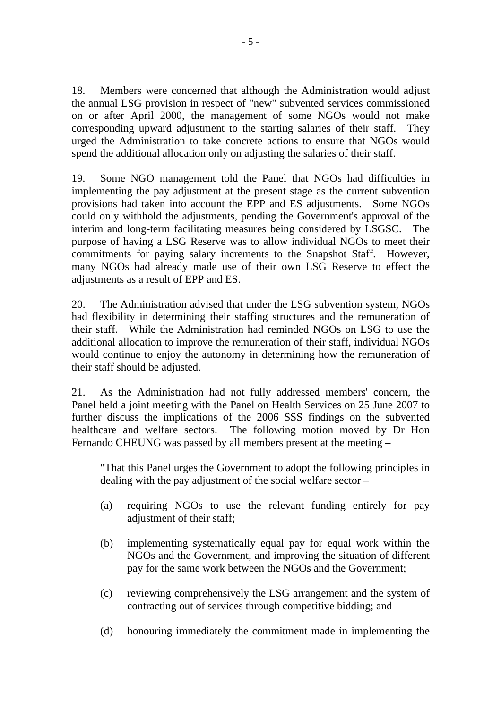18. Members were concerned that although the Administration would adjust the annual LSG provision in respect of "new" subvented services commissioned on or after April 2000, the management of some NGOs would not make corresponding upward adjustment to the starting salaries of their staff. They urged the Administration to take concrete actions to ensure that NGOs would spend the additional allocation only on adjusting the salaries of their staff.

19. Some NGO management told the Panel that NGOs had difficulties in implementing the pay adjustment at the present stage as the current subvention provisions had taken into account the EPP and ES adjustments. Some NGOs could only withhold the adjustments, pending the Government's approval of the interim and long-term facilitating measures being considered by LSGSC. The purpose of having a LSG Reserve was to allow individual NGOs to meet their commitments for paying salary increments to the Snapshot Staff. However, many NGOs had already made use of their own LSG Reserve to effect the adjustments as a result of EPP and ES.

20. The Administration advised that under the LSG subvention system, NGOs had flexibility in determining their staffing structures and the remuneration of their staff. While the Administration had reminded NGOs on LSG to use the additional allocation to improve the remuneration of their staff, individual NGOs would continue to enjoy the autonomy in determining how the remuneration of their staff should be adjusted.

21. As the Administration had not fully addressed members' concern, the Panel held a joint meeting with the Panel on Health Services on 25 June 2007 to further discuss the implications of the 2006 SSS findings on the subvented healthcare and welfare sectors. The following motion moved by Dr Hon Fernando CHEUNG was passed by all members present at the meeting –

"That this Panel urges the Government to adopt the following principles in dealing with the pay adjustment of the social welfare sector –

- (a) requiring NGOs to use the relevant funding entirely for pay adjustment of their staff;
- (b) implementing systematically equal pay for equal work within the NGOs and the Government, and improving the situation of different pay for the same work between the NGOs and the Government;
- (c) reviewing comprehensively the LSG arrangement and the system of contracting out of services through competitive bidding; and
- (d) honouring immediately the commitment made in implementing the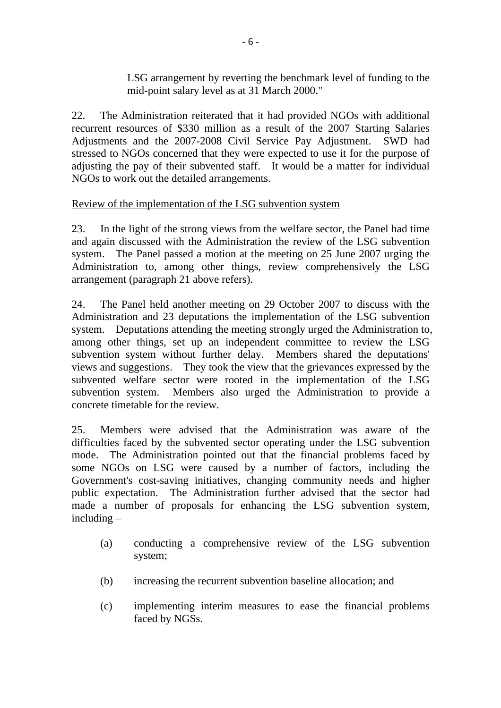LSG arrangement by reverting the benchmark level of funding to the mid-point salary level as at 31 March 2000."

22. The Administration reiterated that it had provided NGOs with additional recurrent resources of \$330 million as a result of the 2007 Starting Salaries Adjustments and the 2007-2008 Civil Service Pay Adjustment. SWD had stressed to NGOs concerned that they were expected to use it for the purpose of adjusting the pay of their subvented staff. It would be a matter for individual NGOs to work out the detailed arrangements.

## Review of the implementation of the LSG subvention system

23. In the light of the strong views from the welfare sector, the Panel had time and again discussed with the Administration the review of the LSG subvention system. The Panel passed a motion at the meeting on 25 June 2007 urging the Administration to, among other things, review comprehensively the LSG arrangement (paragraph 21 above refers).

24. The Panel held another meeting on 29 October 2007 to discuss with the Administration and 23 deputations the implementation of the LSG subvention system. Deputations attending the meeting strongly urged the Administration to, among other things, set up an independent committee to review the LSG subvention system without further delay. Members shared the deputations' views and suggestions. They took the view that the grievances expressed by the subvented welfare sector were rooted in the implementation of the LSG subvention system. Members also urged the Administration to provide a concrete timetable for the review.

25. Members were advised that the Administration was aware of the difficulties faced by the subvented sector operating under the LSG subvention mode. The Administration pointed out that the financial problems faced by some NGOs on LSG were caused by a number of factors, including the Government's cost-saving initiatives, changing community needs and higher public expectation. The Administration further advised that the sector had made a number of proposals for enhancing the LSG subvention system, including –

- (a) conducting a comprehensive review of the LSG subvention system;
- (b) increasing the recurrent subvention baseline allocation; and
- (c) implementing interim measures to ease the financial problems faced by NGSs.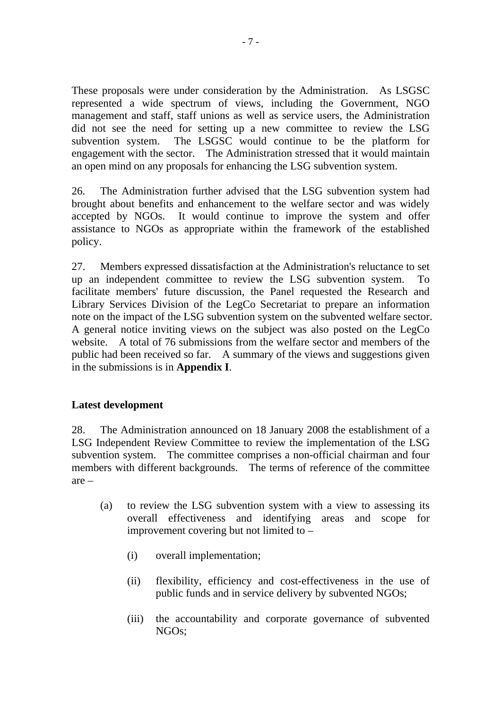These proposals were under consideration by the Administration. As LSGSC represented a wide spectrum of views, including the Government, NGO management and staff, staff unions as well as service users, the Administration did not see the need for setting up a new committee to review the LSG subvention system. The LSGSC would continue to be the platform for engagement with the sector. The Administration stressed that it would maintain an open mind on any proposals for enhancing the LSG subvention system.

26. The Administration further advised that the LSG subvention system had brought about benefits and enhancement to the welfare sector and was widely accepted by NGOs. It would continue to improve the system and offer assistance to NGOs as appropriate within the framework of the established policy.

27. Members expressed dissatisfaction at the Administration's reluctance to set up an independent committee to review the LSG subvention system. To facilitate members' future discussion, the Panel requested the Research and Library Services Division of the LegCo Secretariat to prepare an information note on the impact of the LSG subvention system on the subvented welfare sector. A general notice inviting views on the subject was also posted on the LegCo website. A total of 76 submissions from the welfare sector and members of the public had been received so far. A summary of the views and suggestions given in the submissions is in **Appendix I**.

## **Latest development**

28. The Administration announced on 18 January 2008 the establishment of a LSG Independent Review Committee to review the implementation of the LSG subvention system. The committee comprises a non-official chairman and four members with different backgrounds. The terms of reference of the committee are –

- (a) to review the LSG subvention system with a view to assessing its overall effectiveness and identifying areas and scope for improvement covering but not limited to –
	- (i) overall implementation;
	- (ii) flexibility, efficiency and cost-effectiveness in the use of public funds and in service delivery by subvented NGOs;
	- (iii) the accountability and corporate governance of subvented NGOs;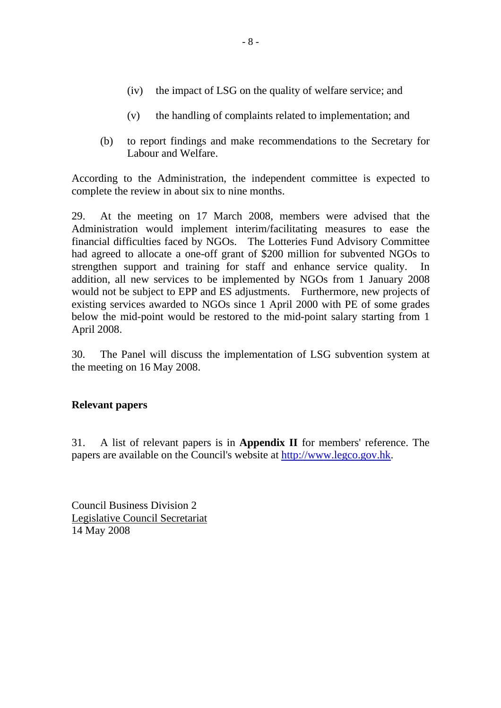- (iv) the impact of LSG on the quality of welfare service; and
- (v) the handling of complaints related to implementation; and
- (b) to report findings and make recommendations to the Secretary for Labour and Welfare.

According to the Administration, the independent committee is expected to complete the review in about six to nine months.

29. At the meeting on 17 March 2008, members were advised that the Administration would implement interim/facilitating measures to ease the financial difficulties faced by NGOs. The Lotteries Fund Advisory Committee had agreed to allocate a one-off grant of \$200 million for subvented NGOs to strengthen support and training for staff and enhance service quality. In addition, all new services to be implemented by NGOs from 1 January 2008 would not be subject to EPP and ES adjustments. Furthermore, new projects of existing services awarded to NGOs since 1 April 2000 with PE of some grades below the mid-point would be restored to the mid-point salary starting from 1 April 2008.

30. The Panel will discuss the implementation of LSG subvention system at the meeting on 16 May 2008.

#### **Relevant papers**

31. A list of relevant papers is in **Appendix II** for members' reference. The papers are available on the Council's website at http://www.legco.gov.hk.

Council Business Division 2 Legislative Council Secretariat 14 May 2008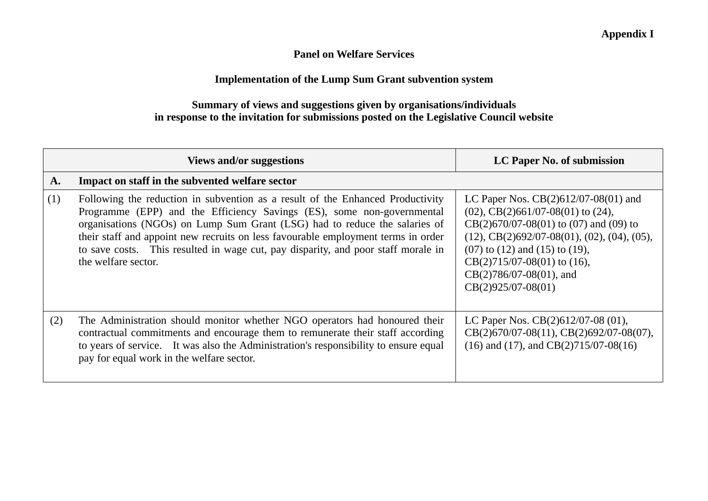#### **Panel on Welfare Services**

## **Implementation of the Lump Sum Grant subvention system**

## **Summary of views and suggestions given by organisations/individuals in response to the invitation for submissions posted on the Legislative Council website**

|     | <b>Views and/or suggestions</b>                                                                                                                                                                                                                                                                                                                                                                                                         | LC Paper No. of submission                                                                                                                                                                                                                                                                                              |
|-----|-----------------------------------------------------------------------------------------------------------------------------------------------------------------------------------------------------------------------------------------------------------------------------------------------------------------------------------------------------------------------------------------------------------------------------------------|-------------------------------------------------------------------------------------------------------------------------------------------------------------------------------------------------------------------------------------------------------------------------------------------------------------------------|
| A.  | Impact on staff in the subvented welfare sector                                                                                                                                                                                                                                                                                                                                                                                         |                                                                                                                                                                                                                                                                                                                         |
| (1) | Following the reduction in subvention as a result of the Enhanced Productivity<br>Programme (EPP) and the Efficiency Savings (ES), some non-governmental<br>organisations (NGOs) on Lump Sum Grant (LSG) had to reduce the salaries of<br>their staff and appoint new recruits on less favourable employment terms in order<br>to save costs. This resulted in wage cut, pay disparity, and poor staff morale in<br>the welfare sector. | LC Paper Nos. $CB(2)612/07-08(01)$ and<br>$(02)$ , CB $(2)$ 661/07-08 $(01)$ to $(24)$ ,<br>$CB(2)670/07-08(01)$ to (07) and (09) to<br>$(12), CB(2)692/07-08(01), (02), (04), (05),$<br>$(07)$ to $(12)$ and $(15)$ to $(19)$ ,<br>$CB(2)715/07-08(01)$ to (16),<br>$CB(2)786/07-08(01)$ , and<br>$CB(2)925/07-08(01)$ |
| (2) | The Administration should monitor whether NGO operators had honoured their<br>contractual commitments and encourage them to remunerate their staff according<br>to years of service. It was also the Administration's responsibility to ensure equal<br>pay for equal work in the welfare sector.                                                                                                                                       | LC Paper Nos. $CB(2)612/07-08(01)$ ,<br>CB(2)670/07-08(11), CB(2)692/07-08(07),<br>$(16)$ and $(17)$ , and CB $(2)$ 715/07-08 $(16)$                                                                                                                                                                                    |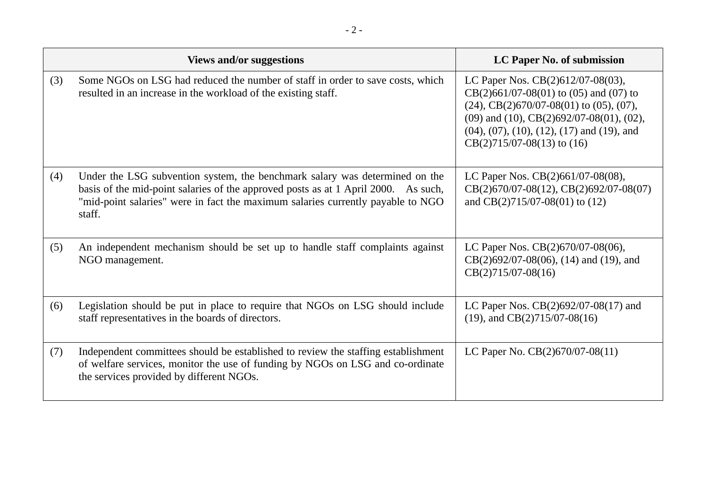|     | <b>Views and/or suggestions</b>                                                                                                                                                                                                                                | LC Paper No. of submission                                                                                                                                                                                                                                                                  |  |
|-----|----------------------------------------------------------------------------------------------------------------------------------------------------------------------------------------------------------------------------------------------------------------|---------------------------------------------------------------------------------------------------------------------------------------------------------------------------------------------------------------------------------------------------------------------------------------------|--|
| (3) | Some NGOs on LSG had reduced the number of staff in order to save costs, which<br>resulted in an increase in the workload of the existing staff.                                                                                                               | LC Paper Nos. CB(2)612/07-08(03),<br>$CB(2)661/07-08(01)$ to (05) and (07) to<br>$(24)$ , CB $(2)670/07-08(01)$ to $(05)$ , $(07)$ ,<br>$(09)$ and $(10)$ , CB $(2)692/07-08(01)$ , $(02)$ ,<br>$(04)$ , $(07)$ , $(10)$ , $(12)$ , $(17)$ and $(19)$ , and<br>$CB(2)715/07-08(13)$ to (16) |  |
| (4) | Under the LSG subvention system, the benchmark salary was determined on the<br>basis of the mid-point salaries of the approved posts as at 1 April 2000. As such,<br>"mid-point salaries" were in fact the maximum salaries currently payable to NGO<br>staff. | LC Paper Nos. CB(2)661/07-08(08),<br>CB(2)670/07-08(12), CB(2)692/07-08(07)<br>and $CB(2)715/07-08(01)$ to (12)                                                                                                                                                                             |  |
| (5) | An independent mechanism should be set up to handle staff complaints against<br>NGO management.                                                                                                                                                                | LC Paper Nos. CB(2)670/07-08(06),<br>$CB(2)692/07-08(06)$ , (14) and (19), and<br>$CB(2)715/07-08(16)$                                                                                                                                                                                      |  |
| (6) | Legislation should be put in place to require that NGOs on LSG should include<br>staff representatives in the boards of directors.                                                                                                                             | LC Paper Nos. $CB(2)692/07-08(17)$ and<br>$(19)$ , and CB $(2)$ 715/07-08 $(16)$                                                                                                                                                                                                            |  |
| (7) | Independent committees should be established to review the staffing establishment<br>of welfare services, monitor the use of funding by NGOs on LSG and co-ordinate<br>the services provided by different NGOs.                                                | LC Paper No. $CB(2)670/07-08(11)$                                                                                                                                                                                                                                                           |  |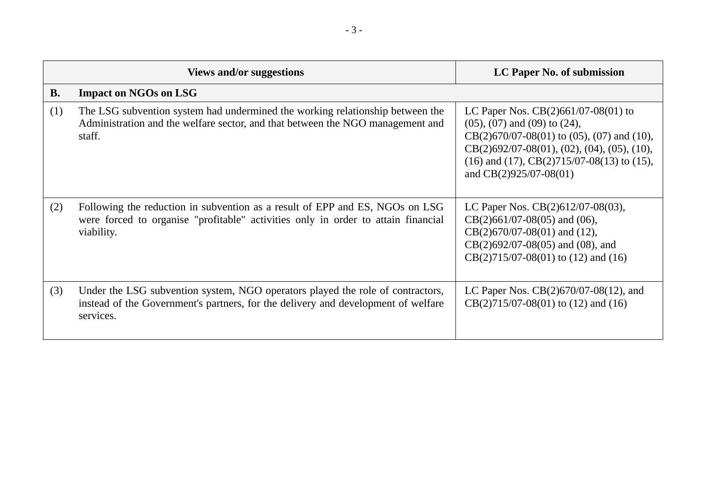|           | Views and/or suggestions                                                                                                                                                         | LC Paper No. of submission                                                                                                                                                                                                                                                        |
|-----------|----------------------------------------------------------------------------------------------------------------------------------------------------------------------------------|-----------------------------------------------------------------------------------------------------------------------------------------------------------------------------------------------------------------------------------------------------------------------------------|
| <b>B.</b> | <b>Impact on NGOs on LSG</b>                                                                                                                                                     |                                                                                                                                                                                                                                                                                   |
| (1)       | The LSG subvention system had undermined the working relationship between the<br>Administration and the welfare sector, and that between the NGO management and<br>staff.        | LC Paper Nos. $CB(2)661/07-08(01)$ to<br>$(05)$ , $(07)$ and $(09)$ to $(24)$ ,<br>$CB(2)670/07-08(01)$ to $(05)$ , $(07)$ and $(10)$ ,<br>$CB(2)692/07-08(01), (02), (04), (05), (10),$<br>$(16)$ and $(17)$ , CB $(2)$ 715/07-08 $(13)$ to $(15)$ ,<br>and $CB(2)925/07-08(01)$ |
| (2)       | Following the reduction in subvention as a result of EPP and ES, NGOs on LSG<br>were forced to organise "profitable" activities only in order to attain financial<br>viability.  | LC Paper Nos. $CB(2)612/07-08(03)$ ,<br>$CB(2)661/07-08(05)$ and (06),<br>$CB(2)670/07-08(01)$ and (12),<br>$CB(2)692/07-08(05)$ and (08), and<br>$CB(2)715/07-08(01)$ to (12) and (16)                                                                                           |
| (3)       | Under the LSG subvention system, NGO operators played the role of contractors,<br>instead of the Government's partners, for the delivery and development of welfare<br>services. | LC Paper Nos. $CB(2)670/07-08(12)$ , and<br>$CB(2)715/07-08(01)$ to (12) and (16)                                                                                                                                                                                                 |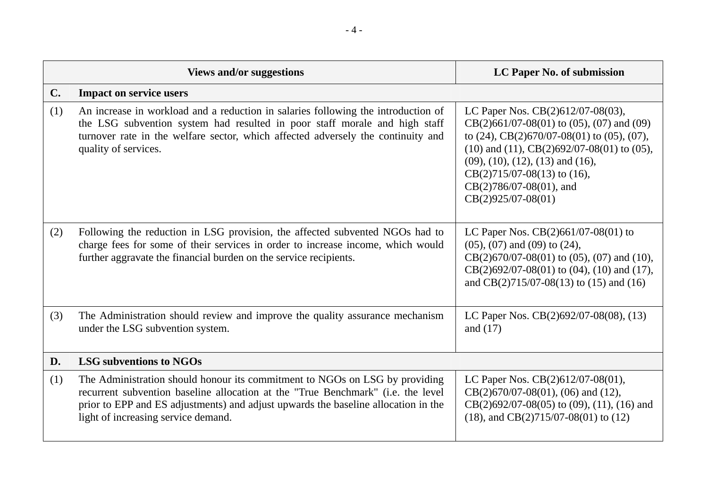|                | <b>Views and/or suggestions</b>                                                                                                                                                                                                                                                              | LC Paper No. of submission                                                                                                                                                                                                                                                                                                                   |
|----------------|----------------------------------------------------------------------------------------------------------------------------------------------------------------------------------------------------------------------------------------------------------------------------------------------|----------------------------------------------------------------------------------------------------------------------------------------------------------------------------------------------------------------------------------------------------------------------------------------------------------------------------------------------|
| $\mathbf{C}$ . | <b>Impact on service users</b>                                                                                                                                                                                                                                                               |                                                                                                                                                                                                                                                                                                                                              |
| (1)            | An increase in workload and a reduction in salaries following the introduction of<br>the LSG subvention system had resulted in poor staff morale and high staff<br>turnover rate in the welfare sector, which affected adversely the continuity and<br>quality of services.                  | LC Paper Nos. CB(2)612/07-08(03),<br>$CB(2)661/07-08(01)$ to (05), (07) and (09)<br>to $(24)$ , CB $(2)670/07-08(01)$ to $(05)$ , $(07)$ ,<br>$(10)$ and $(11)$ , CB $(2)692/07-08(01)$ to $(05)$ ,<br>$(09)$ , $(10)$ , $(12)$ , $(13)$ and $(16)$ ,<br>$CB(2)715/07-08(13)$ to (16),<br>$CB(2)786/07-08(01)$ , and<br>$CB(2)925/07-08(01)$ |
| (2)            | Following the reduction in LSG provision, the affected subvented NGOs had to<br>charge fees for some of their services in order to increase income, which would<br>further aggravate the financial burden on the service recipients.                                                         | LC Paper Nos. $CB(2)661/07-08(01)$ to<br>$(05)$ , $(07)$ and $(09)$ to $(24)$ ,<br>$CB(2)670/07-08(01)$ to (05), (07) and (10),<br>$CB(2)692/07-08(01)$ to $(04)$ , $(10)$ and $(17)$ ,<br>and $CB(2)715/07-08(13)$ to (15) and (16)                                                                                                         |
| (3)            | The Administration should review and improve the quality assurance mechanism<br>under the LSG subvention system.                                                                                                                                                                             | LC Paper Nos. CB(2)692/07-08(08), (13)<br>and $(17)$                                                                                                                                                                                                                                                                                         |
| D.             | <b>LSG subventions to NGOs</b>                                                                                                                                                                                                                                                               |                                                                                                                                                                                                                                                                                                                                              |
| (1)            | The Administration should honour its commitment to NGOs on LSG by providing<br>recurrent subvention baseline allocation at the "True Benchmark" (i.e. the level<br>prior to EPP and ES adjustments) and adjust upwards the baseline allocation in the<br>light of increasing service demand. | LC Paper Nos. CB(2)612/07-08(01),<br>$CB(2)670/07-08(01)$ , (06) and (12),<br>$CB(2)692/07-08(05)$ to (09), (11), (16) and<br>$(18)$ , and CB $(2)$ 715/07-08 $(01)$ to $(12)$                                                                                                                                                               |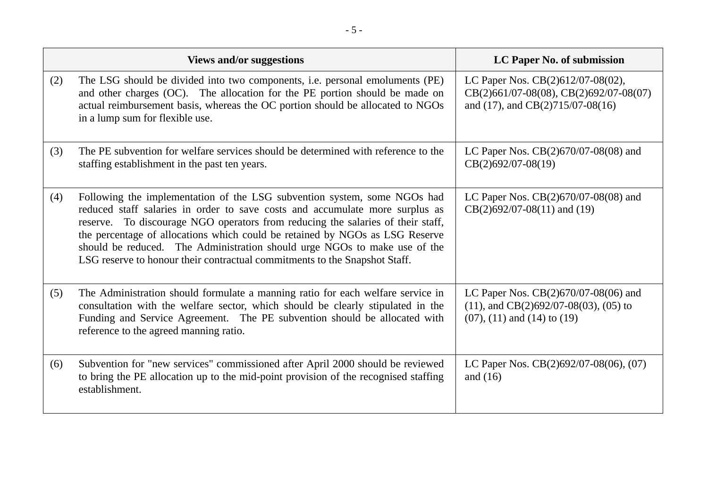|     | <b>Views and/or suggestions</b>                                                                                                                                                                                                                                                                                                                                                                                                                                                        | LC Paper No. of submission                                                                                                       |
|-----|----------------------------------------------------------------------------------------------------------------------------------------------------------------------------------------------------------------------------------------------------------------------------------------------------------------------------------------------------------------------------------------------------------------------------------------------------------------------------------------|----------------------------------------------------------------------------------------------------------------------------------|
| (2) | The LSG should be divided into two components, i.e. personal emoluments (PE)<br>and other charges (OC). The allocation for the PE portion should be made on<br>actual reimbursement basis, whereas the OC portion should be allocated to NGOs<br>in a lump sum for flexible use.                                                                                                                                                                                                       | LC Paper Nos. CB(2)612/07-08(02),<br>CB(2)661/07-08(08), CB(2)692/07-08(07)<br>and $(17)$ , and CB $(2)715/07-08(16)$            |
| (3) | The PE subvention for welfare services should be determined with reference to the<br>staffing establishment in the past ten years.                                                                                                                                                                                                                                                                                                                                                     | LC Paper Nos. $CB(2)670/07-08(08)$ and<br>$CB(2)692/07-08(19)$                                                                   |
| (4) | Following the implementation of the LSG subvention system, some NGOs had<br>reduced staff salaries in order to save costs and accumulate more surplus as<br>reserve. To discourage NGO operators from reducing the salaries of their staff,<br>the percentage of allocations which could be retained by NGOs as LSG Reserve<br>should be reduced. The Administration should urge NGOs to make use of the<br>LSG reserve to honour their contractual commitments to the Snapshot Staff. | LC Paper Nos. $CB(2)670/07-08(08)$ and<br>$CB(2)692/07-08(11)$ and (19)                                                          |
| (5) | The Administration should formulate a manning ratio for each welfare service in<br>consultation with the welfare sector, which should be clearly stipulated in the<br>Funding and Service Agreement. The PE subvention should be allocated with<br>reference to the agreed manning ratio.                                                                                                                                                                                              | LC Paper Nos. $CB(2)670/07-08(06)$ and<br>$(11)$ , and CB $(2)692/07-08(03)$ , $(05)$ to<br>$(07)$ , $(11)$ and $(14)$ to $(19)$ |
| (6) | Subvention for "new services" commissioned after April 2000 should be reviewed<br>to bring the PE allocation up to the mid-point provision of the recognised staffing<br>establishment.                                                                                                                                                                                                                                                                                                | LC Paper Nos. $CB(2)692/07-08(06)$ , (07)<br>and $(16)$                                                                          |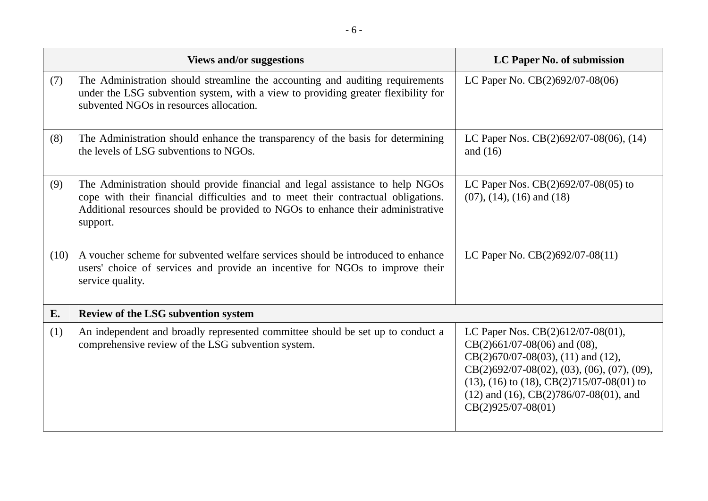|      | <b>Views and/or suggestions</b>                                                                                                                                                                                                                                   | LC Paper No. of submission                                                                                                                                                                                                                                                                             |
|------|-------------------------------------------------------------------------------------------------------------------------------------------------------------------------------------------------------------------------------------------------------------------|--------------------------------------------------------------------------------------------------------------------------------------------------------------------------------------------------------------------------------------------------------------------------------------------------------|
| (7)  | The Administration should streamline the accounting and auditing requirements<br>under the LSG subvention system, with a view to providing greater flexibility for<br>subvented NGOs in resources allocation.                                                     | LC Paper No. CB(2)692/07-08(06)                                                                                                                                                                                                                                                                        |
| (8)  | The Administration should enhance the transparency of the basis for determining<br>the levels of LSG subventions to NGOs.                                                                                                                                         | LC Paper Nos. CB(2)692/07-08(06), (14)<br>and $(16)$                                                                                                                                                                                                                                                   |
| (9)  | The Administration should provide financial and legal assistance to help NGOs<br>cope with their financial difficulties and to meet their contractual obligations.<br>Additional resources should be provided to NGOs to enhance their administrative<br>support. | LC Paper Nos. $CB(2)692/07-08(05)$ to<br>$(07)$ , $(14)$ , $(16)$ and $(18)$                                                                                                                                                                                                                           |
| (10) | A voucher scheme for subvented welfare services should be introduced to enhance<br>users' choice of services and provide an incentive for NGOs to improve their<br>service quality.                                                                               | LC Paper No. $CB(2)692/07-08(11)$                                                                                                                                                                                                                                                                      |
| E.   | <b>Review of the LSG subvention system</b>                                                                                                                                                                                                                        |                                                                                                                                                                                                                                                                                                        |
| (1)  | An independent and broadly represented committee should be set up to conduct a<br>comprehensive review of the LSG subvention system.                                                                                                                              | LC Paper Nos. $CB(2)612/07-08(01)$ ,<br>$CB(2)661/07-08(06)$ and (08),<br>$CB(2)670/07-08(03), (11)$ and (12),<br>$CB(2)692/07-08(02), (03), (06), (07), (09),$<br>$(13)$ , $(16)$ to $(18)$ , CB $(2)$ 715/07-08 $(01)$ to<br>$(12)$ and $(16)$ , CB $(2)786/07-08(01)$ , and<br>$CB(2)925/07-08(01)$ |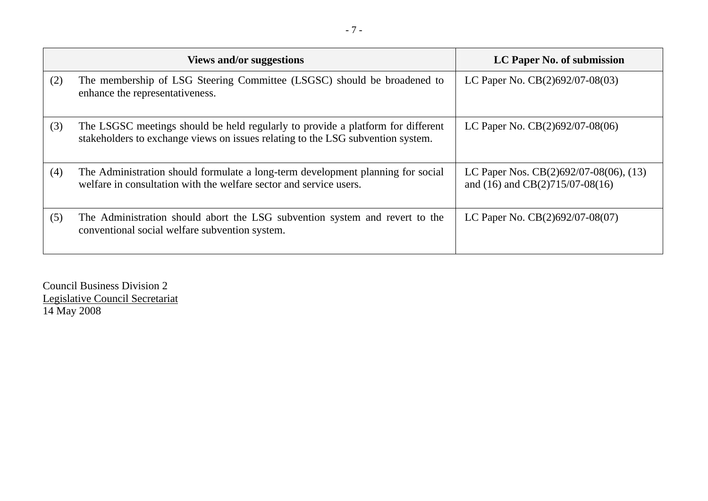|     | <b>Views and/or suggestions</b>                                                                                                                                    | LC Paper No. of submission                                                       |
|-----|--------------------------------------------------------------------------------------------------------------------------------------------------------------------|----------------------------------------------------------------------------------|
| (2) | The membership of LSG Steering Committee (LSGSC) should be broadened to<br>enhance the representativeness.                                                         | LC Paper No. $CB(2)692/07-08(03)$                                                |
| (3) | The LSGSC meetings should be held regularly to provide a platform for different<br>stakeholders to exchange views on issues relating to the LSG subvention system. | LC Paper No. $CB(2)692/07-08(06)$                                                |
| (4) | The Administration should formulate a long-term development planning for social<br>welfare in consultation with the welfare sector and service users.              | LC Paper Nos. $CB(2)692/07-08(06)$ , (13)<br>and $(16)$ and $CB(2)715/07-08(16)$ |
| (5) | The Administration should abort the LSG subvention system and revert to the<br>conventional social welfare subvention system.                                      | LC Paper No. $CB(2)692/07-08(07)$                                                |

Council Business Division 2 Legislative Council Secretariat 14 May 2008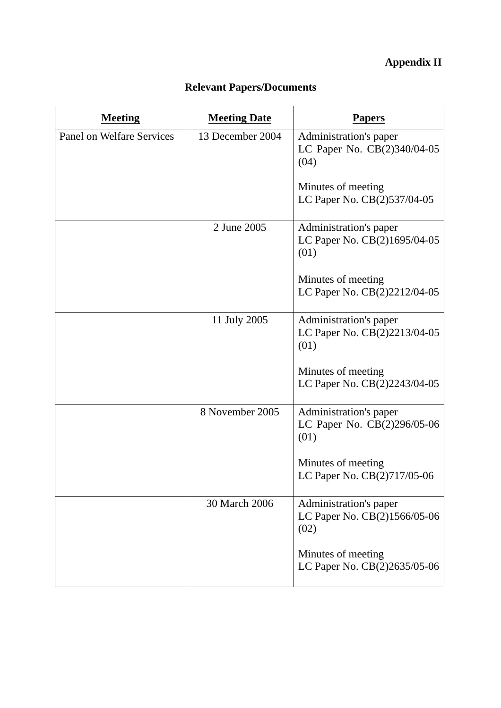# **Appendix II**

| <b>Meeting</b>                   | <b>Meeting Date</b> | Papers                                                         |
|----------------------------------|---------------------|----------------------------------------------------------------|
| <b>Panel on Welfare Services</b> | 13 December 2004    | Administration's paper<br>LC Paper No. CB(2)340/04-05<br>(04)  |
|                                  |                     | Minutes of meeting<br>LC Paper No. CB(2)537/04-05              |
|                                  | 2 June 2005         | Administration's paper<br>LC Paper No. CB(2)1695/04-05<br>(01) |
|                                  |                     | Minutes of meeting<br>LC Paper No. CB(2)2212/04-05             |
|                                  | 11 July 2005        | Administration's paper<br>LC Paper No. CB(2)2213/04-05<br>(01) |
|                                  |                     | Minutes of meeting<br>LC Paper No. CB(2)2243/04-05             |
|                                  | 8 November 2005     | Administration's paper<br>LC Paper No. CB(2)296/05-06<br>(01)  |
|                                  |                     | Minutes of meeting<br>LC Paper No. CB(2)717/05-06              |
|                                  | 30 March 2006       | Administration's paper<br>LC Paper No. CB(2)1566/05-06<br>(02) |
|                                  |                     | Minutes of meeting<br>LC Paper No. CB(2)2635/05-06             |

## **Relevant Papers/Documents**